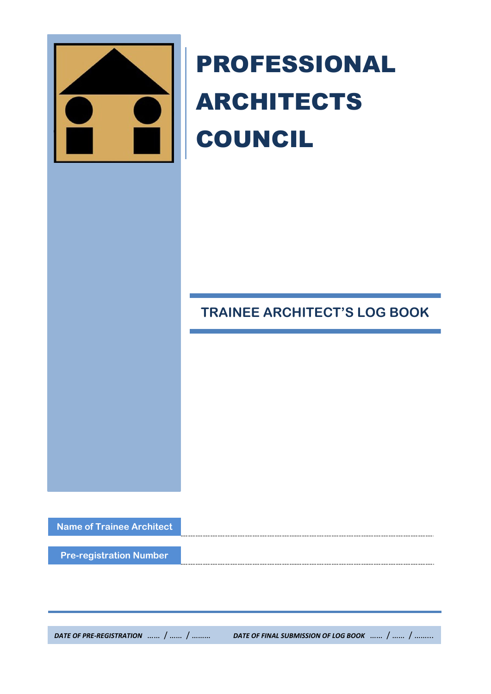

# PROFESSIONAL ARCHITECTS COUNCIL

**TRAINEE ARCHITECT'S LOG BOOK**

**Name of Trainee Architect**

**Pre-registration Number**

*DATE OF PRE-REGISTRATION* …… / …… / ……… *DATE OF FINAL SUBMISSION OF LOG BOOK* …… / …… / ……...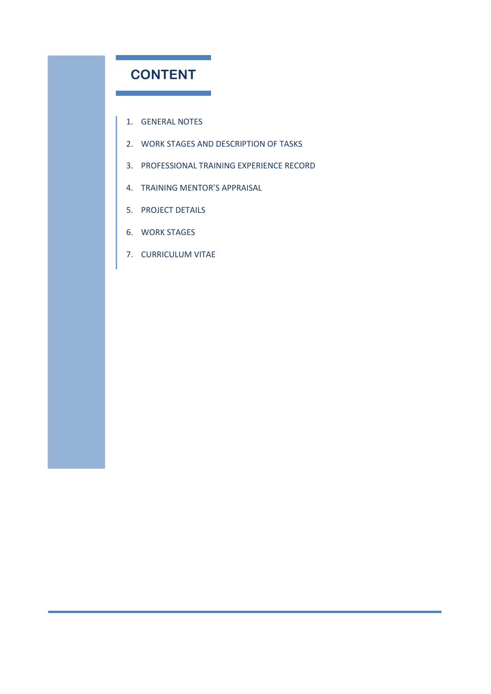## **CONTENT**

1. GENERAL NOTES

- 2. WORK STAGES AND DESCRIPTION OF TASKS
- 3. PROFESSIONAL TRAINING EXPERIENCE RECORD
- 4. TRAINING MENTOR'S APPRAISAL
- 5. PROJECT DETAILS
- 6. WORK STAGES
- 7. CURRICULUM VITAE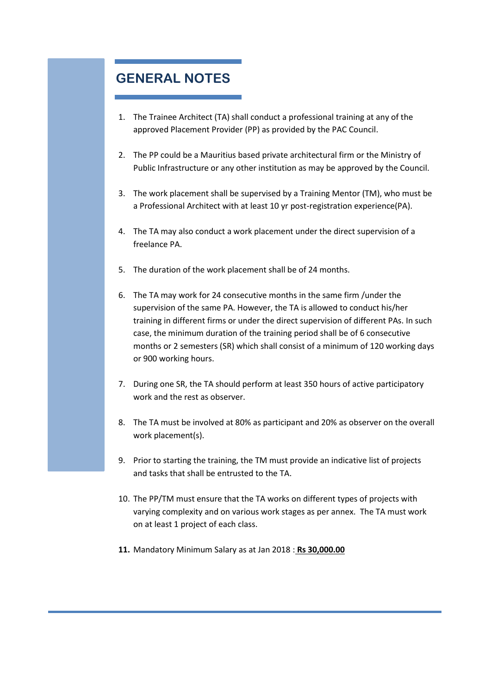## **GENERAL NOTES**

- 1. The Trainee Architect (TA) shall conduct a professional training at any of the approved Placement Provider (PP) as provided by the PAC Council.
- 2. The PP could be a Mauritius based private architectural firm or the Ministry of Public Infrastructure or any other institution as may be approved by the Council.
- 3. The work placement shall be supervised by a Training Mentor (TM), who must be a Professional Architect with at least 10 yr post-registration experience(PA).
- 4. The TA may also conduct a work placement under the direct supervision of a freelance PA.
- 5. The duration of the work placement shall be of 24 months.
- 6. The TA may work for 24 consecutive months in the same firm /under the supervision of the same PA. However, the TA is allowed to conduct his/her training in different firms or under the direct supervision of different PAs. In such case, the minimum duration of the training period shall be of 6 consecutive months or 2 semesters (SR) which shall consist of a minimum of 120 working days or 900 working hours.
- 7. During one SR, the TA should perform at least 350 hours of active participatory work and the rest as observer.
- 8. The TA must be involved at 80% as participant and 20% as observer on the overall work placement(s).
- 9. Prior to starting the training, the TM must provide an indicative list of projects and tasks that shall be entrusted to the TA.
- 10. The PP/TM must ensure that the TA works on different types of projects with varying complexity and on various work stages as per annex. The TA must work on at least 1 project of each class.
- **11.** Mandatory Minimum Salary as at Jan 2018 : **Rs 30,000.00**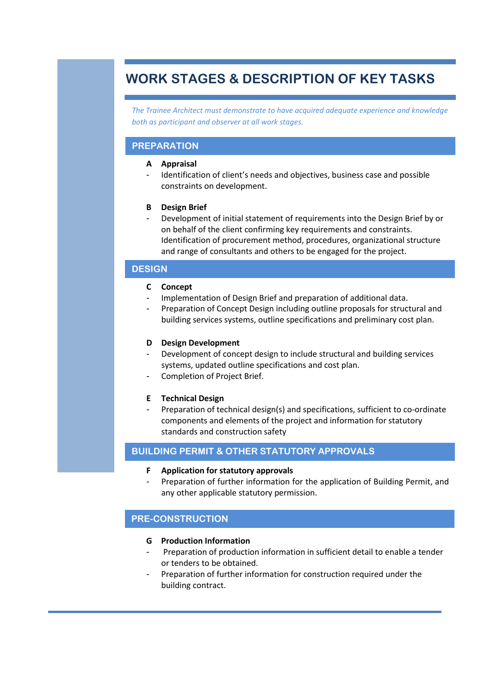## **WORK STAGES & DESCRIPTION OF KEY TASKS**

*The Trainee Architect must demonstrate to have acquired adequate experience and knowledge both as participant and observer at all work stages.*

#### **PREPARATION**

#### **A Appraisal**

Identification of client's needs and objectives, business case and possible constraints on development.

#### **B Design Brief**

- Development of initial statement of requirements into the Design Brief by or on behalf of the client confirming key requirements and constraints. Identification of procurement method, procedures, organizational structure and range of consultants and others to be engaged for the project.

#### **DESIGN**

#### **C Concept**

- Implementation of Design Brief and preparation of additional data.
- Preparation of Concept Design including outline proposals for structural and building services systems, outline specifications and preliminary cost plan.

#### **D Design Development**

- Development of concept design to include structural and building services systems, updated outline specifications and cost plan.
- Completion of Project Brief.

#### **E Technical Design**

Preparation of technical design(s) and specifications, sufficient to co-ordinate components and elements of the project and information for statutory standards and construction safety

#### **BUILDING PERMIT & OTHER STATUTORY APPROVALS**

- **F Application for statutory approvals**
- Preparation of further information for the application of Building Permit, and any other applicable statutory permission.

#### **PRE-CONSTRUCTION**

#### **G Production Information**

- Preparation of production information in sufficient detail to enable a tender or tenders to be obtained.
- Preparation of further information for construction required under the building contract.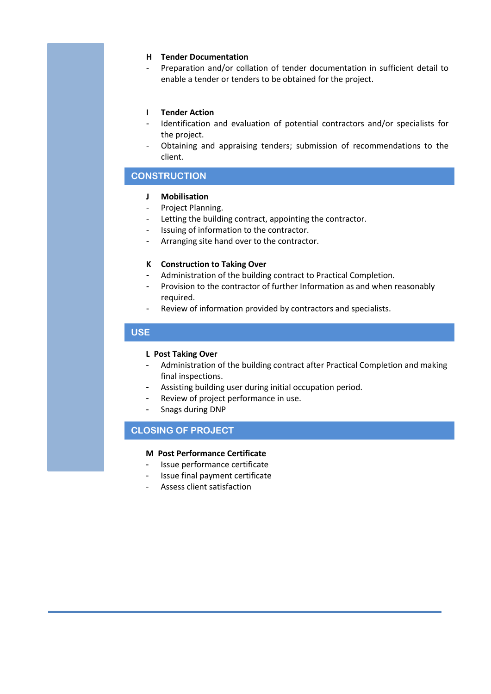#### **H Tender Documentation**

- Preparation and/or collation of tender documentation in sufficient detail to enable a tender or tenders to be obtained for the project.

#### **I Tender Action**

- Identification and evaluation of potential contractors and/or specialists for the project.
- Obtaining and appraising tenders; submission of recommendations to the client.

#### **CONSTRUCTION**

#### **J Mobilisation**

- Project Planning.
- Letting the building contract, appointing the contractor.
- Issuing of information to the contractor.
- Arranging site hand over to the contractor.

#### **K Construction to Taking Over**

- Administration of the building contract to Practical Completion.
- Provision to the contractor of further Information as and when reasonably required.
- Review of information provided by contractors and specialists.

#### **USE**

#### **L Post Taking Over**

- Administration of the building contract after Practical Completion and making final inspections.
- Assisting building user during initial occupation period.
- Review of project performance in use.
- Snags during DNP

#### **CLOSING OF PROJECT**

#### **M Post Performance Certificate**

- Issue performance certificate
- Issue final payment certificate
- Assess client satisfaction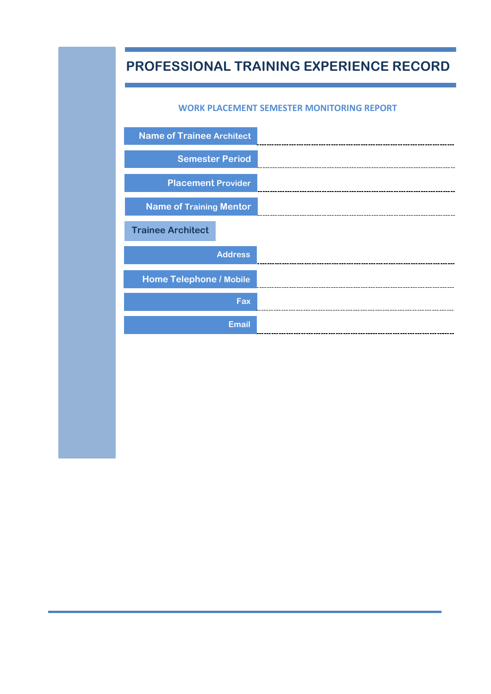# **PROFESSIONAL TRAINING EXPERIENCE RECORD**

#### **WORK PLACEMENT SEMESTER MONITORING REPORT**

| <b>Name of Trainee Architect</b> |                |
|----------------------------------|----------------|
| <b>Semester Period</b>           |                |
| <b>Placement Provider</b>        |                |
| <b>Name of Training Mentor</b>   |                |
| <b>Trainee Architect</b>         |                |
|                                  | <b>Address</b> |
| <b>Home Telephone / Mobile</b>   |                |
|                                  | Fax            |
|                                  |                |
|                                  | <b>Email</b>   |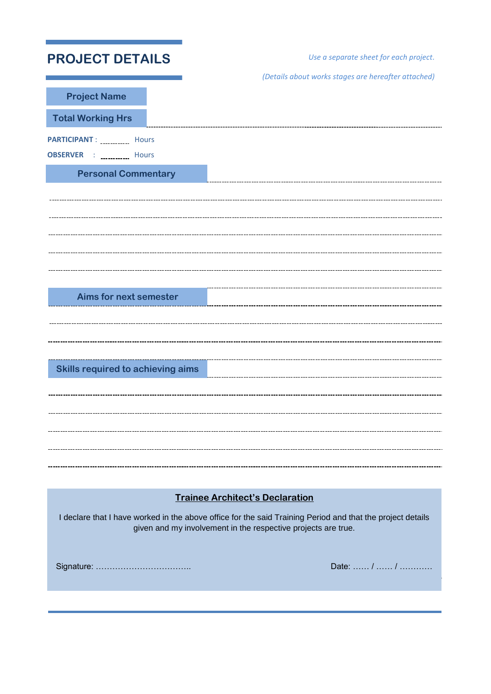| <b>PROJECT DETAILS</b>                                                                                                                                                      |                                        | Use a separate sheet for each project.              |  |  |  |  |  |
|-----------------------------------------------------------------------------------------------------------------------------------------------------------------------------|----------------------------------------|-----------------------------------------------------|--|--|--|--|--|
|                                                                                                                                                                             |                                        | (Details about works stages are hereafter attached) |  |  |  |  |  |
| <b>Project Name</b>                                                                                                                                                         |                                        |                                                     |  |  |  |  |  |
| <b>Total Working Hrs</b>                                                                                                                                                    |                                        |                                                     |  |  |  |  |  |
| PARTICIPANT : __________ Hours<br>: <u>. Hours</u><br><b>OBSERVER</b>                                                                                                       |                                        |                                                     |  |  |  |  |  |
| <b>Personal Commentary</b>                                                                                                                                                  |                                        |                                                     |  |  |  |  |  |
|                                                                                                                                                                             |                                        |                                                     |  |  |  |  |  |
|                                                                                                                                                                             |                                        |                                                     |  |  |  |  |  |
|                                                                                                                                                                             |                                        |                                                     |  |  |  |  |  |
|                                                                                                                                                                             |                                        |                                                     |  |  |  |  |  |
|                                                                                                                                                                             |                                        |                                                     |  |  |  |  |  |
| <b>Aims for next semester</b>                                                                                                                                               |                                        |                                                     |  |  |  |  |  |
|                                                                                                                                                                             |                                        |                                                     |  |  |  |  |  |
|                                                                                                                                                                             |                                        |                                                     |  |  |  |  |  |
| <b>Skills required to achieving aims</b>                                                                                                                                    |                                        |                                                     |  |  |  |  |  |
|                                                                                                                                                                             |                                        |                                                     |  |  |  |  |  |
|                                                                                                                                                                             |                                        |                                                     |  |  |  |  |  |
|                                                                                                                                                                             |                                        |                                                     |  |  |  |  |  |
|                                                                                                                                                                             |                                        |                                                     |  |  |  |  |  |
|                                                                                                                                                                             |                                        |                                                     |  |  |  |  |  |
|                                                                                                                                                                             | <b>Trainee Architect's Declaration</b> |                                                     |  |  |  |  |  |
| I declare that I have worked in the above office for the said Training Period and that the project details<br>given and my involvement in the respective projects are true. |                                        |                                                     |  |  |  |  |  |
|                                                                                                                                                                             |                                        | Date:  /  /                                         |  |  |  |  |  |
|                                                                                                                                                                             |                                        |                                                     |  |  |  |  |  |
|                                                                                                                                                                             |                                        |                                                     |  |  |  |  |  |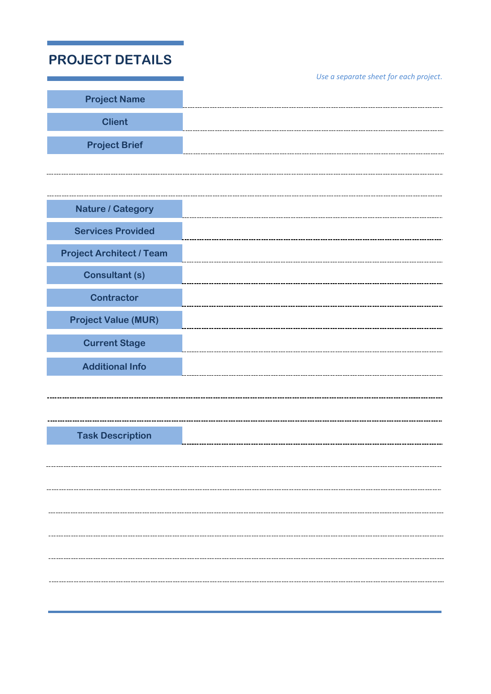| <b>PROJECT DETAILS</b>          |                                        |
|---------------------------------|----------------------------------------|
| <b>Project Name</b>             | Use a separate sheet for each project. |
|                                 |                                        |
| <b>Client</b>                   |                                        |
| <b>Project Brief</b>            |                                        |
|                                 |                                        |
|                                 |                                        |
| <b>Nature / Category</b>        |                                        |
| <b>Services Provided</b>        |                                        |
| <b>Project Architect / Team</b> |                                        |
| <b>Consultant (s)</b>           |                                        |
| <b>Contractor</b>               |                                        |
| <b>Project Value (MUR)</b>      |                                        |
|                                 |                                        |
| <b>Current Stage</b>            |                                        |
| <b>Additional Info</b>          |                                        |
|                                 |                                        |
|                                 |                                        |
| <b>Task Description</b>         |                                        |
|                                 |                                        |
|                                 |                                        |
|                                 |                                        |
|                                 |                                        |
|                                 |                                        |
|                                 |                                        |
|                                 |                                        |
|                                 |                                        |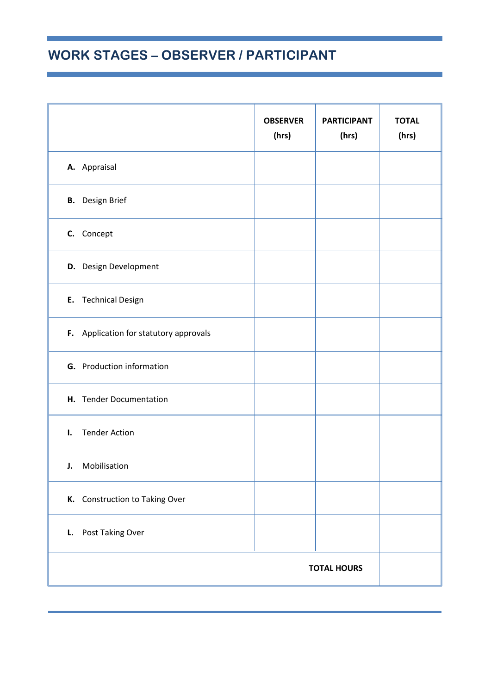# **WORK STAGES – OBSERVER / PARTICIPANT**

|                                        | <b>OBSERVER</b><br>(hrs) | <b>PARTICIPANT</b><br>(hrs) | <b>TOTAL</b><br>(hrs) |  |
|----------------------------------------|--------------------------|-----------------------------|-----------------------|--|
| A. Appraisal                           |                          |                             |                       |  |
| <b>B.</b> Design Brief                 |                          |                             |                       |  |
| C. Concept                             |                          |                             |                       |  |
| D. Design Development                  |                          |                             |                       |  |
| E. Technical Design                    |                          |                             |                       |  |
| F. Application for statutory approvals |                          |                             |                       |  |
| <b>G.</b> Production information       |                          |                             |                       |  |
| H. Tender Documentation                |                          |                             |                       |  |
| <b>Tender Action</b><br>ı.             |                          |                             |                       |  |
| Mobilisation<br>J.                     |                          |                             |                       |  |
| K. Construction to Taking Over         |                          |                             |                       |  |
| L. Post Taking Over                    |                          |                             |                       |  |
| <b>TOTAL HOURS</b>                     |                          |                             |                       |  |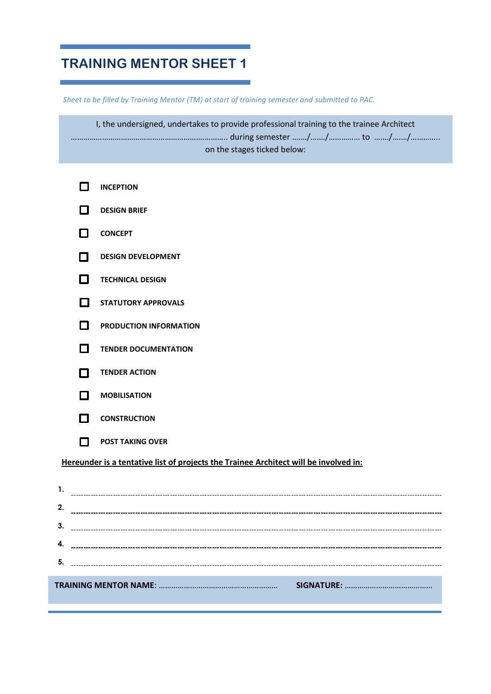## **TRAINING MENTOR SHEET 1**

*Sheet to be filled by Training Mentor (TM) at start of training semester and submitted to PAC.* 

I, the undersigned, undertakes to provide professional training to the trainee Architect ……………………………………………………….……….. during semester ….…/….…/…………… to ….…/….…/………….. on the stages ticked below:

|    |               | <b>INCEPTION</b>                                                                     |
|----|---------------|--------------------------------------------------------------------------------------|
|    | - 1           | <b>DESIGN BRIEF</b>                                                                  |
|    | П             | <b>CONCEPT</b>                                                                       |
|    | П             | <b>DESIGN DEVELOPMENT</b>                                                            |
|    | 0             | <b>TECHNICAL DESIGN</b>                                                              |
|    | П             | <b>STATUTORY APPROVALS</b>                                                           |
|    | П             | PRODUCTION INFORMATION                                                               |
|    | П             | <b>TENDER DOCUMENTATION</b>                                                          |
|    | П             | <b>TENDER ACTION</b>                                                                 |
|    | $\mathcal{L}$ | <b>MOBILISATION</b>                                                                  |
|    | - 1           | <b>CONSTRUCTION</b>                                                                  |
|    | П.            | <b>POST TAKING OVER</b>                                                              |
|    |               | Hereunder is a tentative list of projects the Trainee Architect will be involved in: |
|    |               |                                                                                      |
| 2. |               |                                                                                      |
| 3. |               |                                                                                      |
| 4. |               |                                                                                      |
| 5. |               |                                                                                      |
|    |               |                                                                                      |

**TRAINING MENTOR NAME**: ………………………………………………… **SIGNATURE:** ……………………………………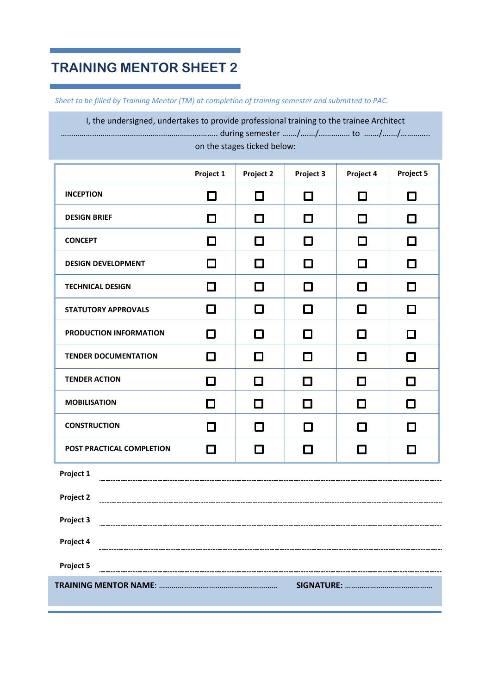## **TRAINING MENTOR SHEET 2**

*Sheet to be filled by Training Mentor (TM) at completion of training semester and submitted to PAC.* 

I, the undersigned, undertakes to provide professional training to the trainee Architect ……………………………………………………….……….. during semester ….…/….…/…………… to ….…/….…/………….. on the stages ticked below:

|                             | Project 1 | Project 2                | Project 3 | Project 4 | Project 5 |  |
|-----------------------------|-----------|--------------------------|-----------|-----------|-----------|--|
| <b>INCEPTION</b>            | $\Box$    | □                        | ◘         | □         | □         |  |
| <b>DESIGN BRIEF</b>         | □         | $\overline{\phantom{a}}$ | □         | □         | □         |  |
| <b>CONCEPT</b>              | □         | $\Box$                   | □         | $\Box$    | □         |  |
| <b>DESIGN DEVELOPMENT</b>   | □         | $\Box$                   | □         | □         | □         |  |
| <b>TECHNICAL DESIGN</b>     | $\Box$    | □                        | $\Box$    | □         | $\Box$    |  |
| <b>STATUTORY APPROVALS</b>  | $\Box$    | □                        | $\Box$    | П         | П         |  |
| PRODUCTION INFORMATION      | П         | П                        | $\Box$    | □         | П         |  |
| <b>TENDER DOCUMENTATION</b> | $\Box$    | □                        | □         | □         | $\Box$    |  |
| <b>TENDER ACTION</b>        | О         | □                        | $\Box$    | □         | □         |  |
| <b>MOBILISATION</b>         | □         | $\Box$                   | $\Box$    | □         | □         |  |
| <b>CONSTRUCTION</b>         | $\Box$    | □                        | $\Box$    | □         | □         |  |
| POST PRACTICAL COMPLETION   | П         | П                        | □         | □         | □         |  |
| Project 1                   |           |                          |           |           |           |  |
| Project 2                   |           |                          |           |           |           |  |
| Project 3                   |           |                          |           |           |           |  |
| Project 4                   |           |                          |           |           |           |  |
| Project 5                   |           |                          |           |           |           |  |
|                             |           |                          |           |           |           |  |